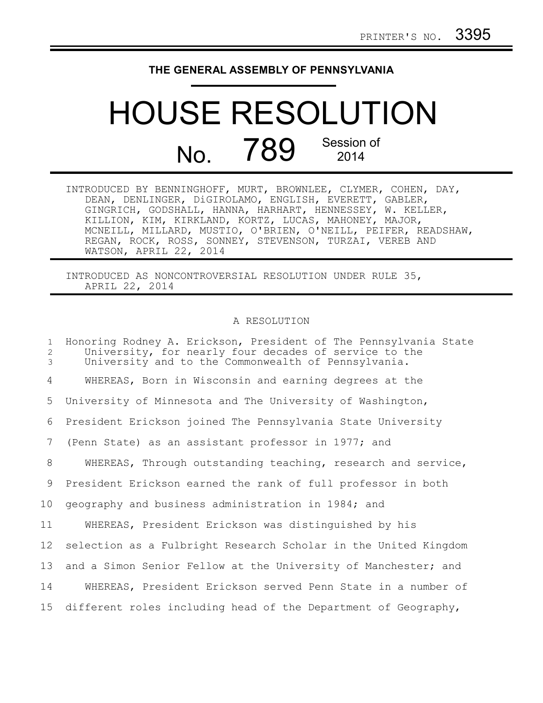## **THE GENERAL ASSEMBLY OF PENNSYLVANIA**

## HOUSE RESOLUTION No. 789 Session of 2014

| INTRODUCED BY BENNINGHOFF, MURT, BROWNLEE, CLYMER, COHEN, DAY, |
|----------------------------------------------------------------|
| DEAN, DENLINGER, DiGIROLAMO, ENGLISH, EVERETT, GABLER,         |
| GINGRICH, GODSHALL, HANNA, HARHART, HENNESSEY, W. KELLER,      |
| KILLION, KIM, KIRKLAND, KORTZ, LUCAS, MAHONEY, MAJOR,          |
| MCNEILL, MILLARD, MUSTIO, O'BRIEN, O'NEILL, PEIFER, READSHAW,  |
| REGAN, ROCK, ROSS, SONNEY, STEVENSON, TURZAI, VEREB AND        |
| WATSON, APRIL 22, 2014                                         |

INTRODUCED AS NONCONTROVERSIAL RESOLUTION UNDER RULE 35, APRIL 22, 2014

## A RESOLUTION

Honoring Rodney A. Erickson, President of The Pennsylvania State University, for nearly four decades of service to the University and to the Commonwealth of Pennsylvania. WHEREAS, Born in Wisconsin and earning degrees at the University of Minnesota and The University of Washington, President Erickson joined The Pennsylvania State University (Penn State) as an assistant professor in 1977; and WHEREAS, Through outstanding teaching, research and service, President Erickson earned the rank of full professor in both geography and business administration in 1984; and WHEREAS, President Erickson was distinguished by his selection as a Fulbright Research Scholar in the United Kingdom and a Simon Senior Fellow at the University of Manchester; and WHEREAS, President Erickson served Penn State in a number of different roles including head of the Department of Geography, 1 2 3 4 5 6 7 8 9 10 11 12 13 14 15